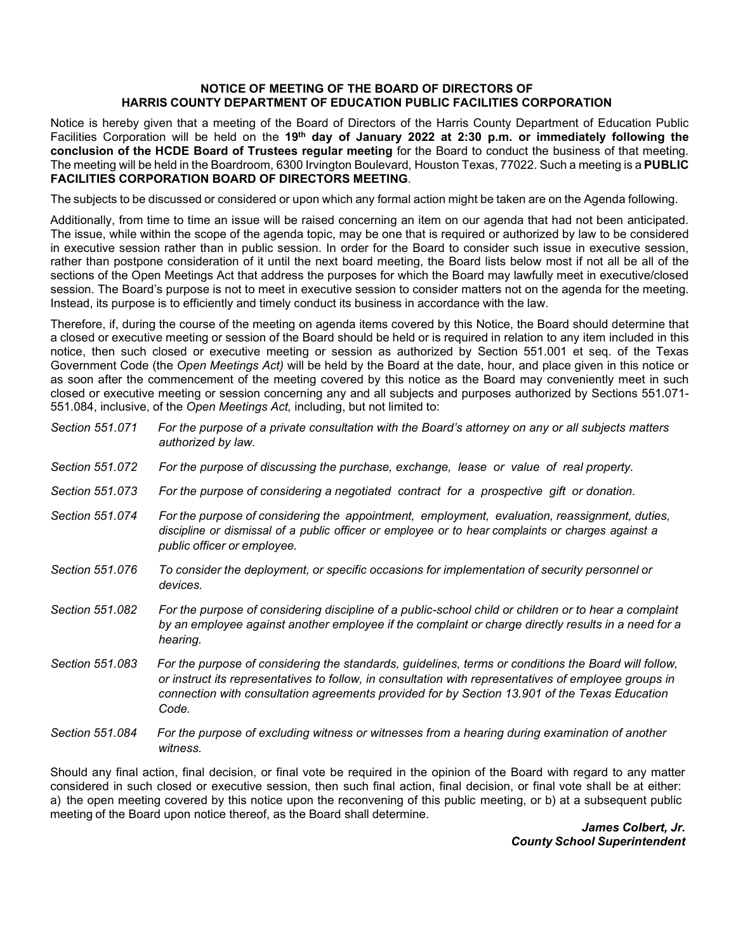## **NOTICE OF MEETING OF THE BOARD OF DIRECTORS OF HARRIS COUNTY DEPARTMENT OF EDUCATION PUBLIC FACILITIES CORPORATION**

Notice is hereby given that a meeting of the Board of Directors of the Harris County Department of Education Public Facilities Corporation will be held on the **19th day of January 2022 at 2:30 p.m. or immediately following the conclusion of the HCDE Board of Trustees regular meeting** for the Board to conduct the business of that meeting. The meeting will be held in the Boardroom, 6300 Irvington Boulevard, Houston Texas, 77022. Such a meeting is a **PUBLIC FACILITIES CORPORATION BOARD OF DIRECTORS MEETING**.

The subjects to be discussed or considered or upon which any formal action might be taken are on the Agenda following.

Additionally, from time to time an issue will be raised concerning an item on our agenda that had not been anticipated. The issue, while within the scope of the agenda topic, may be one that is required or authorized by law to be considered in executive session rather than in public session. In order for the Board to consider such issue in executive session, rather than postpone consideration of it until the next board meeting, the Board lists below most if not all be all of the sections of the Open Meetings Act that address the purposes for which the Board may lawfully meet in executive/closed session. The Board's purpose is not to meet in executive session to consider matters not on the agenda for the meeting. Instead, its purpose is to efficiently and timely conduct its business in accordance with the law.

Therefore, if, during the course of the meeting on agenda items covered by this Notice, the Board should determine that a closed or executive meeting or session of the Board should be held or is required in relation to any item included in this notice, then such closed or executive meeting or session as authorized by Section 551.001 et seq. of the Texas Government Code (the *Open Meetings Act)* will be held by the Board at the date, hour, and place given in this notice or as soon after the commencement of the meeting covered by this notice as the Board may conveniently meet in such closed or executive meeting or session concerning any and all subjects and purposes authorized by Sections 551.071- 551.084, inclusive, of the *Open Meetings Act,* including, but not limited to:

| Section 551.071 | For the purpose of a private consultation with the Board's attorney on any or all subjects matters<br>authorized by law.                                                                                                                                                                                                |
|-----------------|-------------------------------------------------------------------------------------------------------------------------------------------------------------------------------------------------------------------------------------------------------------------------------------------------------------------------|
| Section 551.072 | For the purpose of discussing the purchase, exchange, lease or value of real property.                                                                                                                                                                                                                                  |
| Section 551,073 | For the purpose of considering a negotiated contract for a prospective gift or donation.                                                                                                                                                                                                                                |
| Section 551.074 | For the purpose of considering the appointment, employment, evaluation, reassignment, duties,<br>discipline or dismissal of a public officer or employee or to hear complaints or charges against a<br>public officer or employee.                                                                                      |
| Section 551,076 | To consider the deployment, or specific occasions for implementation of security personnel or<br>devices.                                                                                                                                                                                                               |
| Section 551.082 | For the purpose of considering discipline of a public-school child or children or to hear a complaint<br>by an employee against another employee if the complaint or charge directly results in a need for a<br>hearing.                                                                                                |
| Section 551.083 | For the purpose of considering the standards, guidelines, terms or conditions the Board will follow,<br>or instruct its representatives to follow, in consultation with representatives of employee groups in<br>connection with consultation agreements provided for by Section 13.901 of the Texas Education<br>Code. |
| Section 551.084 | For the purpose of excluding witness or witnesses from a hearing during examination of another<br>witness.                                                                                                                                                                                                              |

Should any final action, final decision, or final vote be required in the opinion of the Board with regard to any matter considered in such closed or executive session, then such final action, final decision, or final vote shall be at either: a) the open meeting covered by this notice upon the reconvening of this public meeting, or b) at a subsequent public meeting of the Board upon notice thereof, as the Board shall determine.

> *James Colbert, Jr. County School Superintendent*